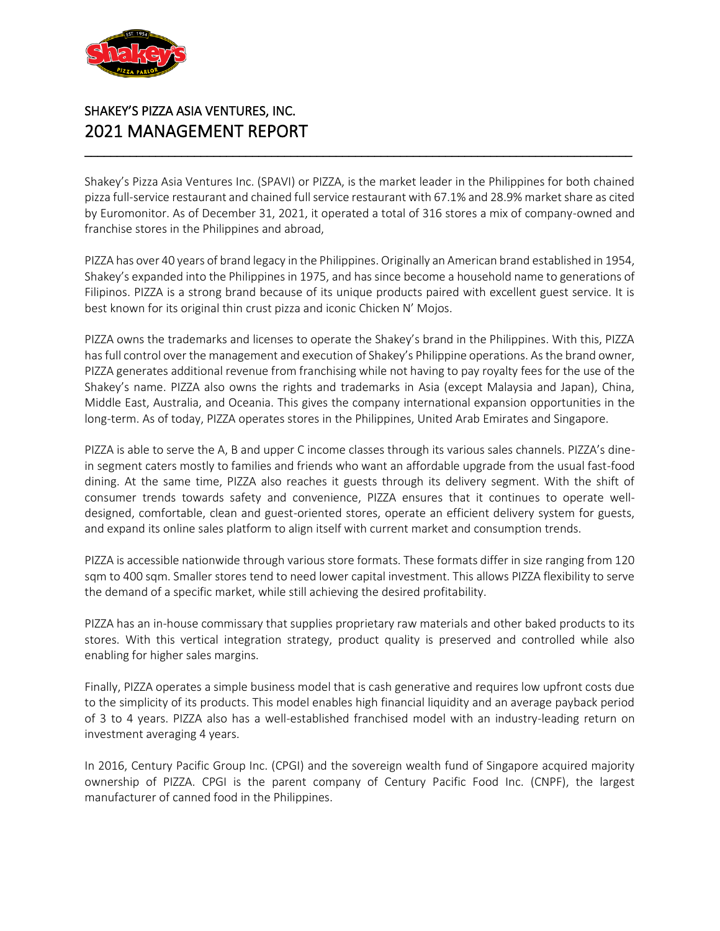

# SHAKEY'S PIZZA ASIA VENTURES, INC. 2021 MANAGEMENT REPORT

Shakey's Pizza Asia Ventures Inc. (SPAVI) or PIZZA, is the market leader in the Philippines for both chained pizza full-service restaurant and chained full service restaurant with 67.1% and 28.9% market share as cited by Euromonitor. As of December 31, 2021, it operated a total of 316 stores a mix of company-owned and franchise stores in the Philippines and abroad,

\_\_\_\_\_\_\_\_\_\_\_\_\_\_\_\_\_\_\_\_\_\_\_\_\_\_\_\_\_\_\_\_\_\_\_\_\_\_\_\_\_\_\_\_\_\_\_\_\_\_\_\_\_\_\_\_\_\_\_\_\_\_\_\_\_\_\_\_\_\_\_\_\_\_\_\_\_\_\_\_\_\_\_\_\_

PIZZA has over 40 years of brand legacy in the Philippines. Originally an American brand established in 1954, Shakey's expanded into the Philippines in 1975, and has since become a household name to generations of Filipinos. PIZZA is a strong brand because of its unique products paired with excellent guest service. It is best known for its original thin crust pizza and iconic Chicken N' Mojos.

PIZZA owns the trademarks and licenses to operate the Shakey's brand in the Philippines. With this, PIZZA has full control over the management and execution of Shakey's Philippine operations. As the brand owner, PIZZA generates additional revenue from franchising while not having to pay royalty fees for the use of the Shakey's name. PIZZA also owns the rights and trademarks in Asia (except Malaysia and Japan), China, Middle East, Australia, and Oceania. This gives the company international expansion opportunities in the long-term. As of today, PIZZA operates stores in the Philippines, United Arab Emirates and Singapore.

PIZZA is able to serve the A, B and upper C income classes through its various sales channels. PIZZA's dinein segment caters mostly to families and friends who want an affordable upgrade from the usual fast-food dining. At the same time, PIZZA also reaches it guests through its delivery segment. With the shift of consumer trends towards safety and convenience, PIZZA ensures that it continues to operate welldesigned, comfortable, clean and guest-oriented stores, operate an efficient delivery system for guests, and expand its online sales platform to align itself with current market and consumption trends.

PIZZA is accessible nationwide through various store formats. These formats differ in size ranging from 120 sqm to 400 sqm. Smaller stores tend to need lower capital investment. This allows PIZZA flexibility to serve the demand of a specific market, while still achieving the desired profitability.

PIZZA has an in-house commissary that supplies proprietary raw materials and other baked products to its stores. With this vertical integration strategy, product quality is preserved and controlled while also enabling for higher sales margins.

Finally, PIZZA operates a simple business model that is cash generative and requires low upfront costs due to the simplicity of its products. This model enables high financial liquidity and an average payback period of 3 to 4 years. PIZZA also has a well-established franchised model with an industry-leading return on investment averaging 4 years.

In 2016, Century Pacific Group Inc. (CPGI) and the sovereign wealth fund of Singapore acquired majority ownership of PIZZA. CPGI is the parent company of Century Pacific Food Inc. (CNPF), the largest manufacturer of canned food in the Philippines.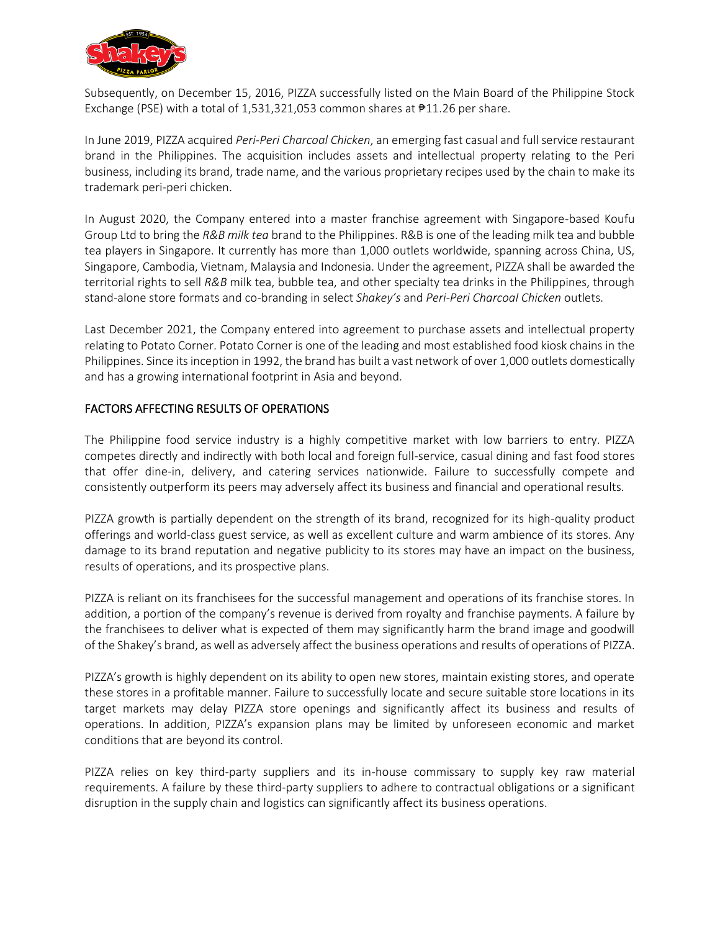

Subsequently, on December 15, 2016, PIZZA successfully listed on the Main Board of the Philippine Stock Exchange (PSE) with a total of 1,531,321,053 common shares at ₱11.26 per share.

In June 2019, PIZZA acquired *Peri-Peri Charcoal Chicken*, an emerging fast casual and full service restaurant brand in the Philippines. The acquisition includes assets and intellectual property relating to the Peri business, including its brand, trade name, and the various proprietary recipes used by the chain to make its trademark peri-peri chicken.

In August 2020, the Company entered into a master franchise agreement with Singapore-based Koufu Group Ltd to bring the *R&B milk tea* brand to the Philippines. R&B is one of the leading milk tea and bubble tea players in Singapore. It currently has more than 1,000 outlets worldwide, spanning across China, US, Singapore, Cambodia, Vietnam, Malaysia and Indonesia. Under the agreement, PIZZA shall be awarded the territorial rights to sell *R&B* milk tea, bubble tea, and other specialty tea drinks in the Philippines, through stand-alone store formats and co-branding in select *Shakey's* and *Peri-Peri Charcoal Chicken* outlets.

Last December 2021, the Company entered into agreement to purchase assets and intellectual property relating to Potato Corner. Potato Corner is one of the leading and most established food kiosk chains in the Philippines. Since its inception in 1992, the brand has built a vast network of over 1,000 outlets domestically and has a growing international footprint in Asia and beyond.

# FACTORS AFFECTING RESULTS OF OPERATIONS

The Philippine food service industry is a highly competitive market with low barriers to entry. PIZZA competes directly and indirectly with both local and foreign full-service, casual dining and fast food stores that offer dine-in, delivery, and catering services nationwide. Failure to successfully compete and consistently outperform its peers may adversely affect its business and financial and operational results.

PIZZA growth is partially dependent on the strength of its brand, recognized for its high-quality product offerings and world-class guest service, as well as excellent culture and warm ambience of its stores. Any damage to its brand reputation and negative publicity to its stores may have an impact on the business, results of operations, and its prospective plans.

PIZZA is reliant on its franchisees for the successful management and operations of its franchise stores. In addition, a portion of the company's revenue is derived from royalty and franchise payments. A failure by the franchisees to deliver what is expected of them may significantly harm the brand image and goodwill of the Shakey's brand, as well as adversely affect the business operations and results of operations of PIZZA.

PIZZA's growth is highly dependent on its ability to open new stores, maintain existing stores, and operate these stores in a profitable manner. Failure to successfully locate and secure suitable store locations in its target markets may delay PIZZA store openings and significantly affect its business and results of operations. In addition, PIZZA's expansion plans may be limited by unforeseen economic and market conditions that are beyond its control.

PIZZA relies on key third-party suppliers and its in-house commissary to supply key raw material requirements. A failure by these third-party suppliers to adhere to contractual obligations or a significant disruption in the supply chain and logistics can significantly affect its business operations.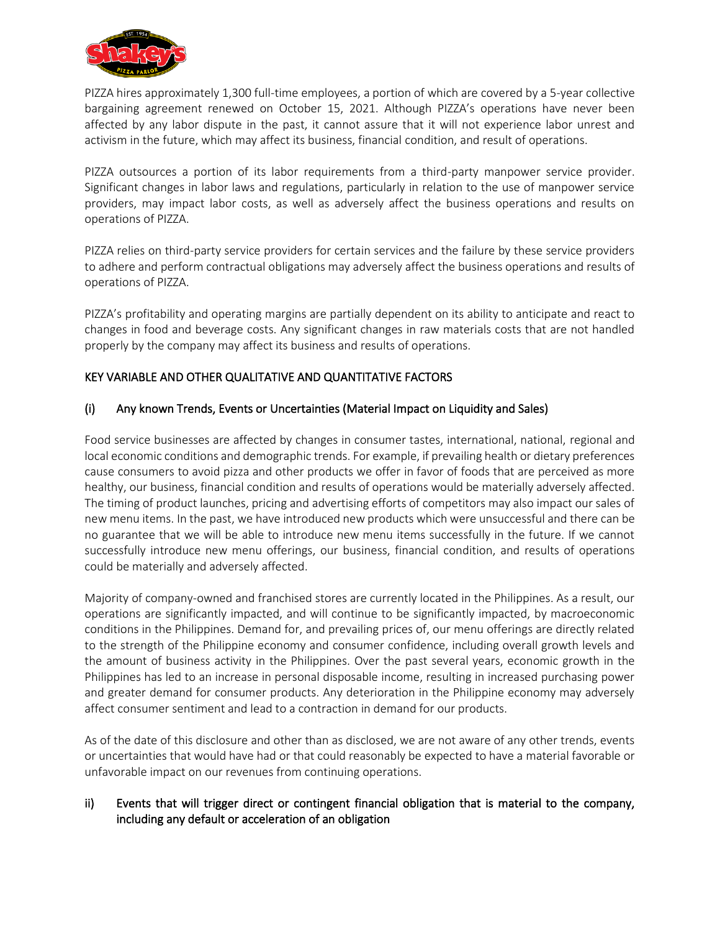

PIZZA hires approximately 1,300 full-time employees, a portion of which are covered by a 5-year collective bargaining agreement renewed on October 15, 2021. Although PIZZA's operations have never been affected by any labor dispute in the past, it cannot assure that it will not experience labor unrest and activism in the future, which may affect its business, financial condition, and result of operations.

PIZZA outsources a portion of its labor requirements from a third-party manpower service provider. Significant changes in labor laws and regulations, particularly in relation to the use of manpower service providers, may impact labor costs, as well as adversely affect the business operations and results on operations of PIZZA.

PIZZA relies on third-party service providers for certain services and the failure by these service providers to adhere and perform contractual obligations may adversely affect the business operations and results of operations of PIZZA.

PIZZA's profitability and operating margins are partially dependent on its ability to anticipate and react to changes in food and beverage costs. Any significant changes in raw materials costs that are not handled properly by the company may affect its business and results of operations.

# KEY VARIABLE AND OTHER QUALITATIVE AND QUANTITATIVE FACTORS

## (i) Any known Trends, Events or Uncertainties (Material Impact on Liquidity and Sales)

Food service businesses are affected by changes in consumer tastes, international, national, regional and local economic conditions and demographic trends. For example, if prevailing health or dietary preferences cause consumers to avoid pizza and other products we offer in favor of foods that are perceived as more healthy, our business, financial condition and results of operations would be materially adversely affected. The timing of product launches, pricing and advertising efforts of competitors may also impact our sales of new menu items. In the past, we have introduced new products which were unsuccessful and there can be no guarantee that we will be able to introduce new menu items successfully in the future. If we cannot successfully introduce new menu offerings, our business, financial condition, and results of operations could be materially and adversely affected.

Majority of company-owned and franchised stores are currently located in the Philippines. As a result, our operations are significantly impacted, and will continue to be significantly impacted, by macroeconomic conditions in the Philippines. Demand for, and prevailing prices of, our menu offerings are directly related to the strength of the Philippine economy and consumer confidence, including overall growth levels and the amount of business activity in the Philippines. Over the past several years, economic growth in the Philippines has led to an increase in personal disposable income, resulting in increased purchasing power and greater demand for consumer products. Any deterioration in the Philippine economy may adversely affect consumer sentiment and lead to a contraction in demand for our products.

As of the date of this disclosure and other than as disclosed, we are not aware of any other trends, events or uncertainties that would have had or that could reasonably be expected to have a material favorable or unfavorable impact on our revenues from continuing operations.

# ii) Events that will trigger direct or contingent financial obligation that is material to the company, including any default or acceleration of an obligation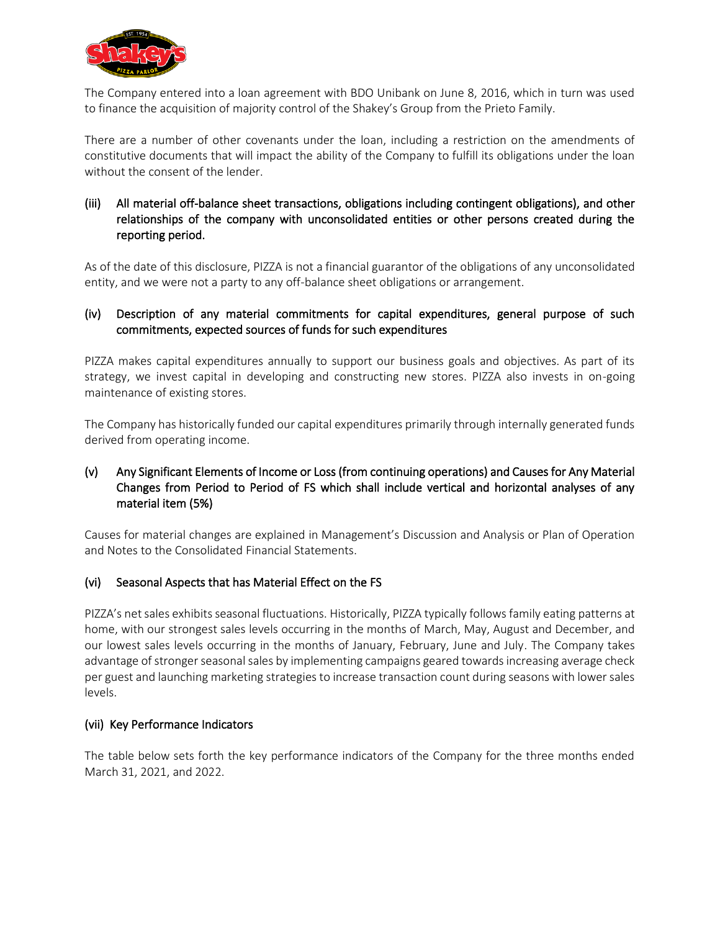

The Company entered into a loan agreement with BDO Unibank on June 8, 2016, which in turn was used to finance the acquisition of majority control of the Shakey's Group from the Prieto Family.

There are a number of other covenants under the loan, including a restriction on the amendments of constitutive documents that will impact the ability of the Company to fulfill its obligations under the loan without the consent of the lender

# (iii) All material off-balance sheet transactions, obligations including contingent obligations), and other relationships of the company with unconsolidated entities or other persons created during the reporting period.

As of the date of this disclosure, PIZZA is not a financial guarantor of the obligations of any unconsolidated entity, and we were not a party to any off-balance sheet obligations or arrangement.

# (iv) Description of any material commitments for capital expenditures, general purpose of such commitments, expected sources of funds for such expenditures

PIZZA makes capital expenditures annually to support our business goals and objectives. As part of its strategy, we invest capital in developing and constructing new stores. PIZZA also invests in on-going maintenance of existing stores.

The Company has historically funded our capital expenditures primarily through internally generated funds derived from operating income.

# (v) Any Significant Elements of Income or Loss (from continuing operations) and Causes for Any Material Changes from Period to Period of FS which shall include vertical and horizontal analyses of any material item (5%)

Causes for material changes are explained in Management's Discussion and Analysis or Plan of Operation and Notes to the Consolidated Financial Statements.

# (vi) Seasonal Aspects that has Material Effect on the FS

PIZZA's net sales exhibits seasonal fluctuations. Historically, PIZZA typically follows family eating patterns at home, with our strongest sales levels occurring in the months of March, May, August and December, and our lowest sales levels occurring in the months of January, February, June and July. The Company takes advantage of stronger seasonal sales by implementing campaigns geared towards increasing average check per guest and launching marketing strategies to increase transaction count during seasons with lower sales levels.

## (vii) Key Performance Indicators

The table below sets forth the key performance indicators of the Company for the three months ended March 31, 2021, and 2022.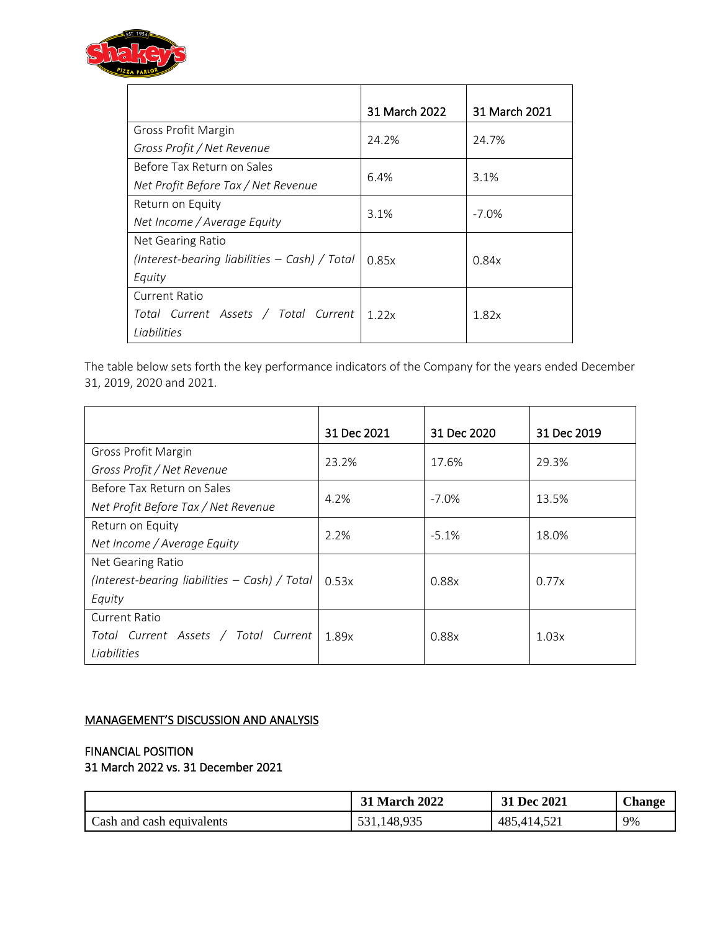

|                                                 | 31 March 2022 | 31 March 2021 |
|-------------------------------------------------|---------------|---------------|
| Gross Profit Margin                             | 24.2%         | 24.7%         |
| Gross Profit / Net Revenue                      |               |               |
| Before Tax Return on Sales                      | 6.4%          |               |
| Net Profit Before Tax / Net Revenue             |               | 3.1%          |
| Return on Equity                                |               | $-7.0\%$      |
| Net Income / Average Equity                     | 3.1%          |               |
| Net Gearing Ratio                               |               |               |
| (Interest-bearing liabilities $-$ Cash) / Total | 0.85x         | 0.84x         |
| Equity                                          |               |               |
| Current Ratio                                   |               |               |
| Total Current Assets / Total Current            | 1.22x         | 1.82x         |
| Liabilities                                     |               |               |

The table below sets forth the key performance indicators of the Company for the years ended December 31, 2019, 2020 and 2021.

|                                                 | 31 Dec 2021 | 31 Dec 2020 | 31 Dec 2019 |
|-------------------------------------------------|-------------|-------------|-------------|
| Gross Profit Margin                             | 23.2%       | 17.6%       | 29.3%       |
| Gross Profit / Net Revenue                      |             |             |             |
| Before Tax Return on Sales                      | 4.2%        | $-7.0\%$    | 13.5%       |
| Net Profit Before Tax / Net Revenue             |             |             |             |
| Return on Equity                                |             |             |             |
| Net Income / Average Equity                     | 2.2%        | $-5.1%$     | 18.0%       |
| Net Gearing Ratio                               |             |             |             |
| (Interest-bearing liabilities $-$ Cash) / Total | 0.53x       | 0.88x       | 0.77x       |
| Equity                                          |             |             |             |
| <b>Current Ratio</b>                            |             |             |             |
| Total Current Assets / Total Current            | 1.89x       | 0.88x       | 1.03x       |
| Liabilities                                     |             |             |             |

# MANAGEMENT'S DISCUSSION AND ANALYSIS

# FINANCIAL POSITION

31 March 2022 vs. 31 December 2021

|                           | <b>31 March 2022</b> | 31 Dec 2021 | <b>Change</b> |
|---------------------------|----------------------|-------------|---------------|
| Cash and cash equivalents | 1,148,935<br>531     | 485,414,521 | 9%            |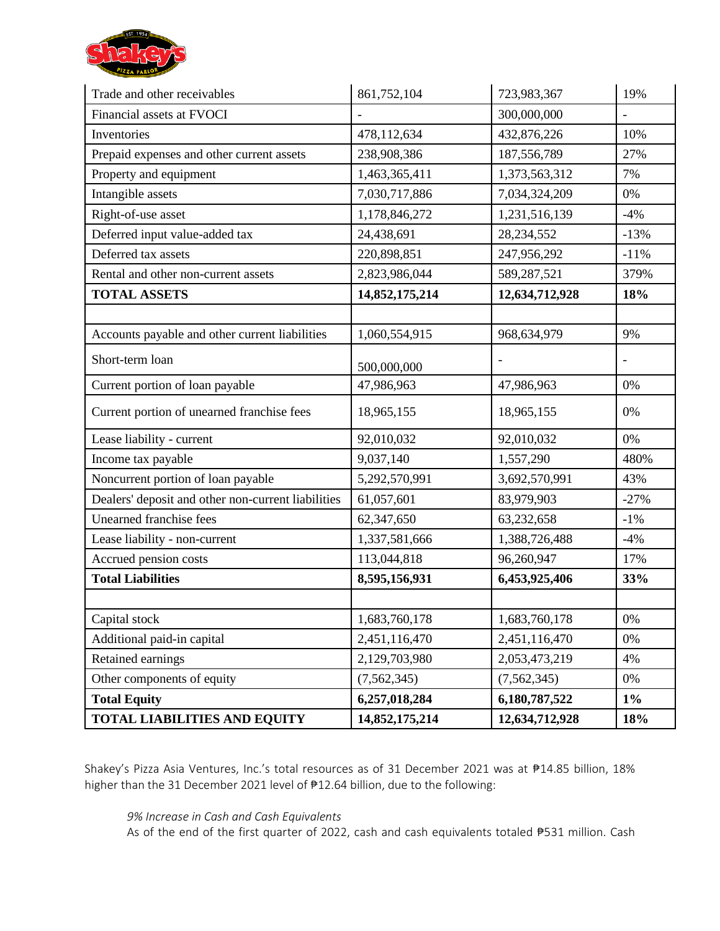

| Trade and other receivables                        | 861,752,104    | 723,983,367    | 19%    |
|----------------------------------------------------|----------------|----------------|--------|
| Financial assets at FVOCI                          |                | 300,000,000    |        |
| Inventories                                        | 478,112,634    | 432,876,226    | 10%    |
| Prepaid expenses and other current assets          | 238,908,386    | 187,556,789    | 27%    |
| Property and equipment                             | 1,463,365,411  | 1,373,563,312  | 7%     |
| Intangible assets                                  | 7,030,717,886  | 7,034,324,209  | 0%     |
| Right-of-use asset                                 | 1,178,846,272  | 1,231,516,139  | $-4%$  |
| Deferred input value-added tax                     | 24,438,691     | 28, 234, 552   | $-13%$ |
| Deferred tax assets                                | 220,898,851    | 247,956,292    | $-11%$ |
| Rental and other non-current assets                | 2,823,986,044  | 589,287,521    | 379%   |
| <b>TOTAL ASSETS</b>                                | 14,852,175,214 | 12,634,712,928 | 18%    |
|                                                    |                |                |        |
| Accounts payable and other current liabilities     | 1,060,554,915  | 968,634,979    | 9%     |
| Short-term loan                                    | 500,000,000    |                |        |
| Current portion of loan payable                    | 47,986,963     | 47,986,963     | 0%     |
| Current portion of unearned franchise fees         | 18,965,155     | 18,965,155     | 0%     |
| Lease liability - current                          | 92,010,032     | 92,010,032     | 0%     |
| Income tax payable                                 | 9,037,140      | 1,557,290      | 480%   |
| Noncurrent portion of loan payable                 | 5,292,570,991  | 3,692,570,991  | 43%    |
| Dealers' deposit and other non-current liabilities | 61,057,601     | 83,979,903     | $-27%$ |
| <b>Unearned franchise fees</b>                     | 62,347,650     | 63,232,658     | $-1\%$ |
| Lease liability - non-current                      | 1,337,581,666  | 1,388,726,488  | $-4%$  |
| Accrued pension costs                              | 113,044,818    | 96,260,947     | 17%    |
| <b>Total Liabilities</b>                           | 8,595,156,931  | 6,453,925,406  | 33%    |
|                                                    |                |                |        |
| Capital stock                                      | 1,683,760,178  | 1,683,760,178  | 0%     |
| Additional paid-in capital                         | 2,451,116,470  | 2,451,116,470  | 0%     |
| Retained earnings                                  | 2,129,703,980  | 2,053,473,219  | 4%     |
| Other components of equity                         | (7, 562, 345)  | (7, 562, 345)  | 0%     |
| <b>Total Equity</b>                                | 6,257,018,284  | 6,180,787,522  | $1\%$  |
| <b>TOTAL LIABILITIES AND EQUITY</b>                | 14,852,175,214 | 12,634,712,928 | 18%    |

Shakey's Pizza Asia Ventures, Inc.'s total resources as of 31 December 2021 was at ₱14.85 billion, 18% higher than the 31 December 2021 level of ₱12.64 billion, due to the following:

# *9% Increase in Cash and Cash Equivalents*

As of the end of the first quarter of 2022, cash and cash equivalents totaled ₱531 million. Cash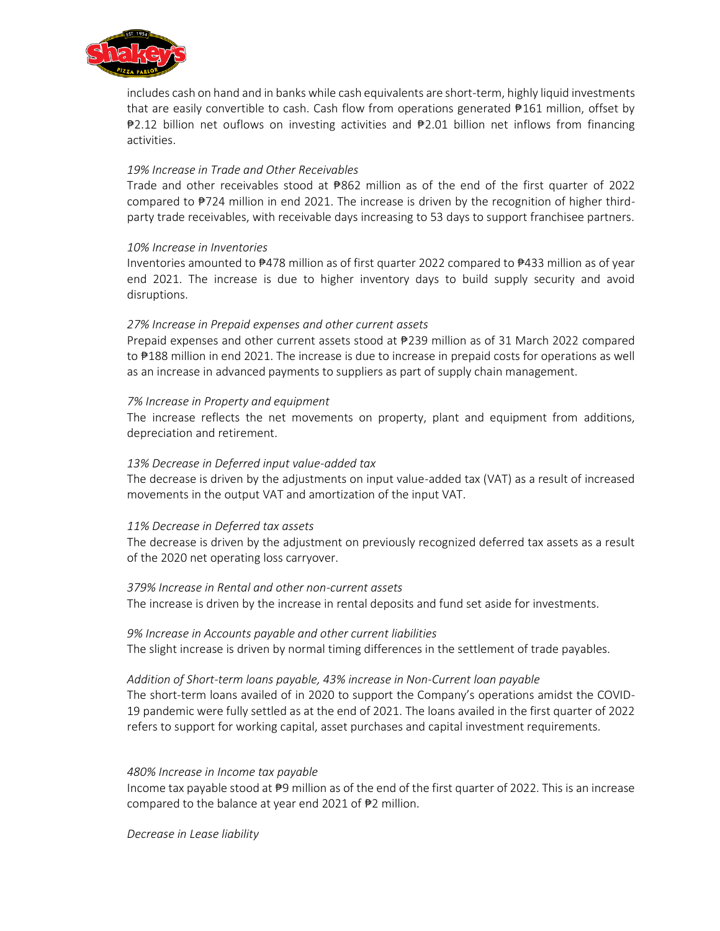

includes cash on hand and in banks while cash equivalents are short-term, highly liquid investments that are easily convertible to cash. Cash flow from operations generated ₱161 million, offset by ₱2.12 billion net ouflows on investing activities and ₱2.01 billion net inflows from financing activities.

## *19% Increase in Trade and Other Receivables*

Trade and other receivables stood at ₱862 million as of the end of the first quarter of 2022 compared to ₱724 million in end 2021. The increase is driven by the recognition of higher thirdparty trade receivables, with receivable days increasing to 53 days to support franchisee partners.

## *10% Increase in Inventories*

Inventories amounted to ₱478 million as of first quarter 2022 compared to ₱433 million as of year end 2021. The increase is due to higher inventory days to build supply security and avoid disruptions.

## *27% Increase in Prepaid expenses and other current assets*

Prepaid expenses and other current assets stood at ₱239 million as of 31 March 2022 compared to ₱188 million in end 2021. The increase is due to increase in prepaid costs for operations as well as an increase in advanced payments to suppliers as part of supply chain management.

## *7% Increase in Property and equipment*

The increase reflects the net movements on property, plant and equipment from additions, depreciation and retirement.

## *13% Decrease in Deferred input value-added tax*

The decrease is driven by the adjustments on input value-added tax (VAT) as a result of increased movements in the output VAT and amortization of the input VAT.

#### *11% Decrease in Deferred tax assets*

The decrease is driven by the adjustment on previously recognized deferred tax assets as a result of the 2020 net operating loss carryover.

#### *379% Increase in Rental and other non-current assets*

The increase is driven by the increase in rental deposits and fund set aside for investments.

#### *9% Increase in Accounts payable and other current liabilities*

The slight increase is driven by normal timing differences in the settlement of trade payables.

#### *Addition of Short-term loans payable, 43% increase in Non-Current loan payable*

The short-term loans availed of in 2020 to support the Company's operations amidst the COVID-19 pandemic were fully settled as at the end of 2021. The loans availed in the first quarter of 2022 refers to support for working capital, asset purchases and capital investment requirements.

#### *480% Increase in Income tax payable*

Income tax payable stood at ₱9 million as of the end of the first quarter of 2022. This is an increase compared to the balance at year end 2021 of ₱2 million.

*Decrease in Lease liability*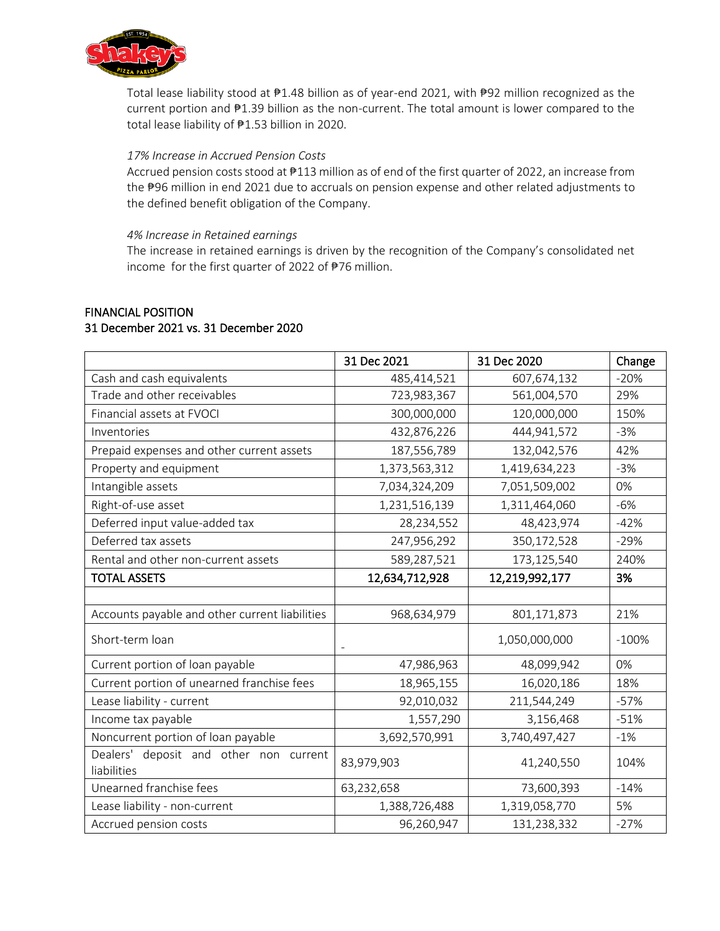

Total lease liability stood at ₱1.48 billion as of year-end 2021, with ₱92 million recognized as the current portion and ₱1.39 billion as the non-current. The total amount is lower compared to the total lease liability of ₱1.53 billion in 2020.

## *17% Increase in Accrued Pension Costs*

Accrued pension costs stood at  $#113$  million as of end of the first quarter of 2022, an increase from the ₱96 million in end 2021 due to accruals on pension expense and other related adjustments to the defined benefit obligation of the Company.

## *4% Increase in Retained earnings*

The increase in retained earnings is driven by the recognition of the Company's consolidated net income for the first quarter of 2022 of ₱76 million.

# FINANCIAL POSITION 31 December 2021 vs. 31 December 2020

|                                                       | 31 Dec 2021    | 31 Dec 2020    | Change  |
|-------------------------------------------------------|----------------|----------------|---------|
| Cash and cash equivalents                             | 485,414,521    | 607,674,132    | $-20%$  |
| Trade and other receivables                           | 723,983,367    | 561,004,570    | 29%     |
| Financial assets at FVOCI                             | 300,000,000    | 120,000,000    | 150%    |
| Inventories                                           | 432,876,226    | 444,941,572    | $-3%$   |
| Prepaid expenses and other current assets             | 187,556,789    | 132,042,576    | 42%     |
| Property and equipment                                | 1,373,563,312  | 1,419,634,223  | $-3%$   |
| Intangible assets                                     | 7,034,324,209  | 7,051,509,002  | 0%      |
| Right-of-use asset                                    | 1,231,516,139  | 1,311,464,060  | $-6%$   |
| Deferred input value-added tax                        | 28,234,552     | 48,423,974     | $-42%$  |
| Deferred tax assets                                   | 247,956,292    | 350,172,528    | $-29%$  |
| Rental and other non-current assets                   | 589,287,521    | 173,125,540    | 240%    |
| <b>TOTAL ASSETS</b>                                   | 12,634,712,928 | 12,219,992,177 | 3%      |
|                                                       |                |                |         |
| Accounts payable and other current liabilities        | 968,634,979    | 801,171,873    | 21%     |
| Short-term loan                                       |                | 1,050,000,000  | $-100%$ |
| Current portion of loan payable                       | 47,986,963     | 48,099,942     | 0%      |
| Current portion of unearned franchise fees            | 18,965,155     | 16,020,186     | 18%     |
| Lease liability - current                             | 92,010,032     | 211,544,249    | $-57%$  |
| Income tax payable                                    | 1,557,290      | 3,156,468      | $-51%$  |
| Noncurrent portion of loan payable                    | 3,692,570,991  | 3,740,497,427  | $-1%$   |
| Dealers' deposit and other non current<br>liabilities | 83,979,903     | 41,240,550     | 104%    |
| Unearned franchise fees                               | 63,232,658     | 73,600,393     | $-14%$  |
| Lease liability - non-current                         | 1,388,726,488  | 1,319,058,770  | 5%      |
| Accrued pension costs                                 | 96,260,947     | 131,238,332    | $-27%$  |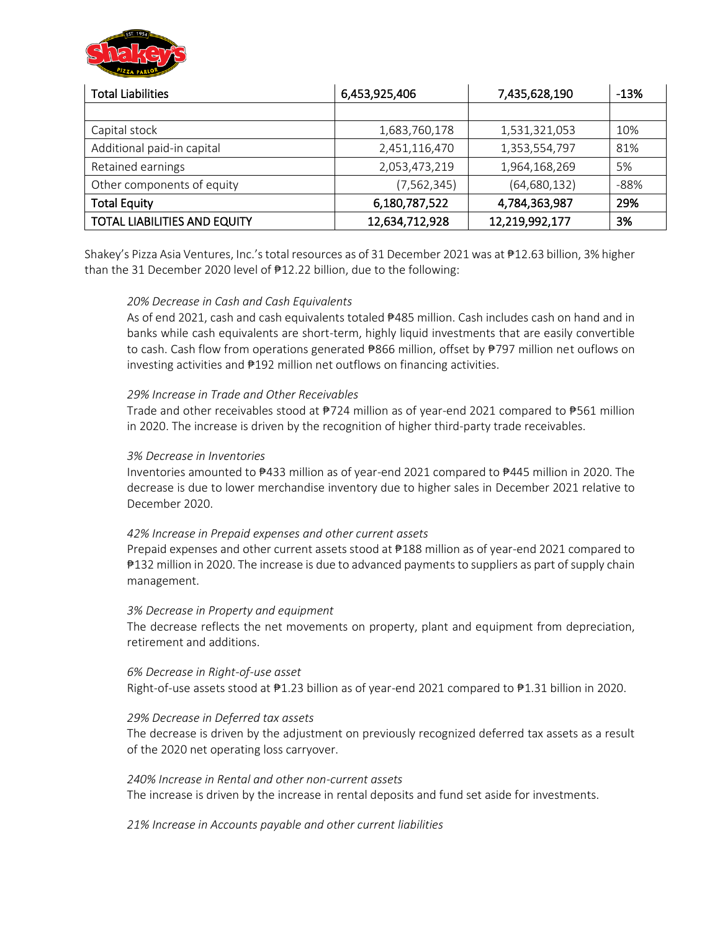

| <b>Total Liabilities</b>            | 6,453,925,406  | 7,435,628,190  | $-13%$ |
|-------------------------------------|----------------|----------------|--------|
|                                     |                |                |        |
| Capital stock                       | 1,683,760,178  | 1,531,321,053  | 10%    |
| Additional paid-in capital          | 2,451,116,470  | 1,353,554,797  | 81%    |
| Retained earnings                   | 2,053,473,219  | 1,964,168,269  | 5%     |
| Other components of equity          | (7, 562, 345)  | (64, 680, 132) | $-88%$ |
| <b>Total Equity</b>                 | 6,180,787,522  | 4,784,363,987  | 29%    |
| <b>TOTAL LIABILITIES AND EQUITY</b> | 12,634,712,928 | 12,219,992,177 | 3%     |

Shakey's Pizza Asia Ventures, Inc.'s total resources as of 31 December 2021 was at ₱12.63 billion, 3% higher than the 31 December 2020 level of ₱12.22 billion, due to the following:

## *20% Decrease in Cash and Cash Equivalents*

As of end 2021, cash and cash equivalents totaled  $#485$  million. Cash includes cash on hand and in banks while cash equivalents are short-term, highly liquid investments that are easily convertible to cash. Cash flow from operations generated ₱866 million, offset by ₱797 million net ouflows on investing activities and ₱192 million net outflows on financing activities.

## *29% Increase in Trade and Other Receivables*

Trade and other receivables stood at ₱724 million as of year-end 2021 compared to ₱561 million in 2020. The increase is driven by the recognition of higher third-party trade receivables.

#### *3% Decrease in Inventories*

Inventories amounted to ₱433 million as of year-end 2021 compared to ₱445 million in 2020. The decrease is due to lower merchandise inventory due to higher sales in December 2021 relative to December 2020.

## *42% Increase in Prepaid expenses and other current assets*

Prepaid expenses and other current assets stood at ₱188 million as of year-end 2021 compared to ₱132 million in 2020. The increase is due to advanced payments to suppliers as part of supply chain management.

#### *3% Decrease in Property and equipment*

The decrease reflects the net movements on property, plant and equipment from depreciation, retirement and additions.

# *6% Decrease in Right-of-use asset*

Right-of-use assets stood at ₱1.23 billion as of year-end 2021 compared to ₱1.31 billion in 2020.

#### *29% Decrease in Deferred tax assets*

The decrease is driven by the adjustment on previously recognized deferred tax assets as a result of the 2020 net operating loss carryover.

# *240% Increase in Rental and other non-current assets*

The increase is driven by the increase in rental deposits and fund set aside for investments.

*21% Increase in Accounts payable and other current liabilities*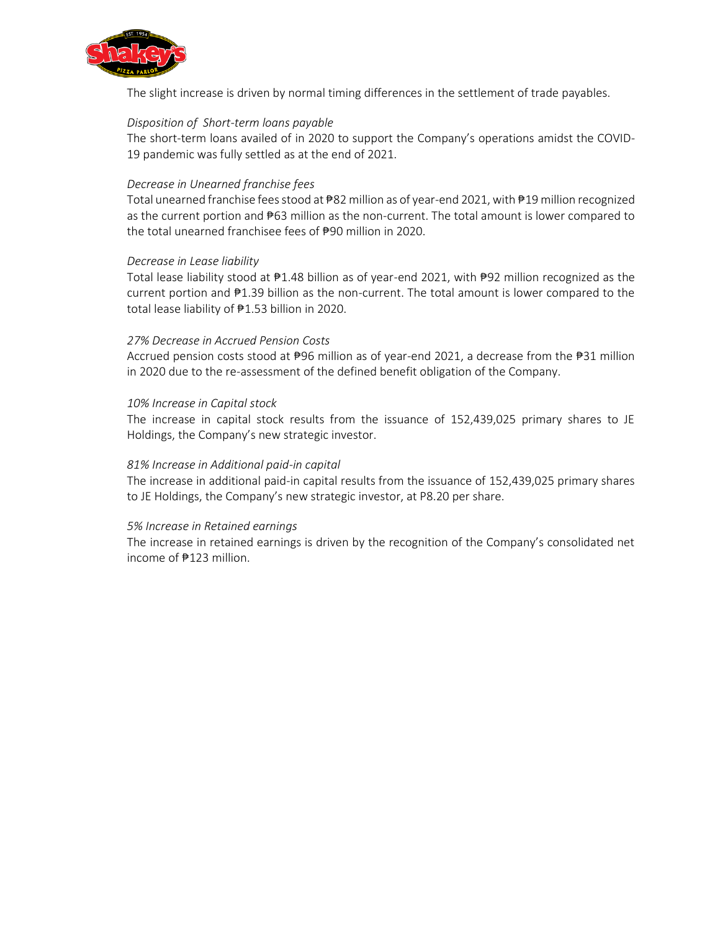

The slight increase is driven by normal timing differences in the settlement of trade payables.

## *Disposition of Short-term loans payable*

The short-term loans availed of in 2020 to support the Company's operations amidst the COVID-19 pandemic was fully settled as at the end of 2021.

## *Decrease in Unearned franchise fees*

Total unearned franchise fees stood at ₱82 million as of year-end 2021, with ₱19 million recognized as the current portion and  $#63$  million as the non-current. The total amount is lower compared to the total unearned franchisee fees of ₱90 million in 2020.

## *Decrease in Lease liability*

Total lease liability stood at ₱1.48 billion as of year-end 2021, with ₱92 million recognized as the current portion and ₱1.39 billion as the non-current. The total amount is lower compared to the total lease liability of ₱1.53 billion in 2020.

## *27% Decrease in Accrued Pension Costs*

Accrued pension costs stood at ₱96 million as of year-end 2021, a decrease from the ₱31 million in 2020 due to the re-assessment of the defined benefit obligation of the Company.

## *10% Increase in Capital stock*

The increase in capital stock results from the issuance of 152,439,025 primary shares to JE Holdings, the Company's new strategic investor.

## *81% Increase in Additional paid-in capital*

The increase in additional paid-in capital results from the issuance of 152,439,025 primary shares to JE Holdings, the Company's new strategic investor, at P8.20 per share.

## *5% Increase in Retained earnings*

The increase in retained earnings is driven by the recognition of the Company's consolidated net income of ₱123 million.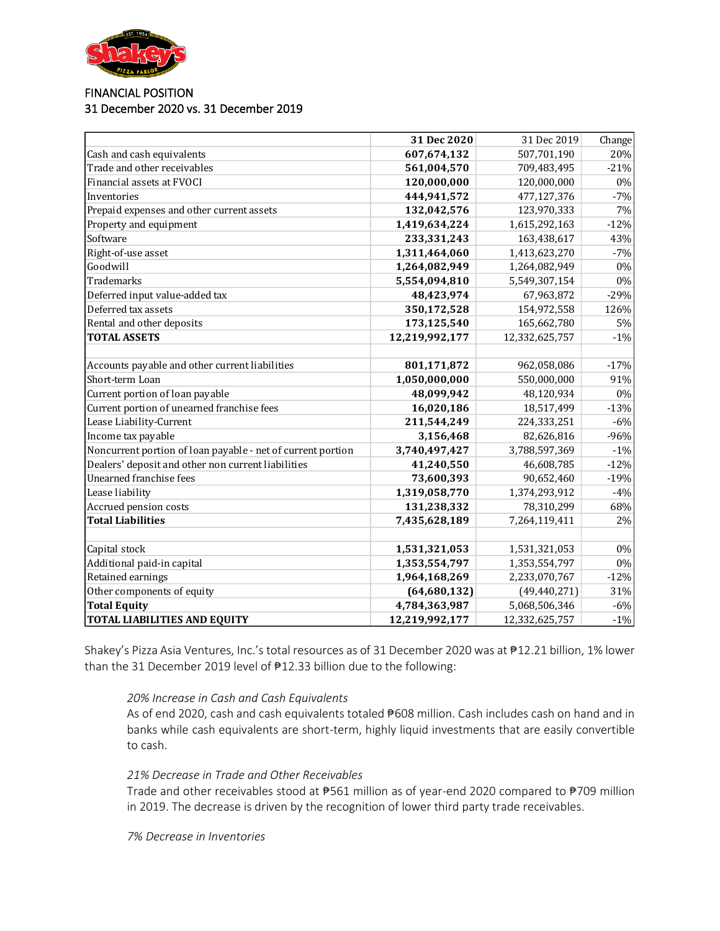

## FINANCIAL POSITION 31 December 2020 vs. 31 December 2019

|                                                             | 31 Dec 2020    | 31 Dec 2019    | Change |
|-------------------------------------------------------------|----------------|----------------|--------|
| Cash and cash equivalents                                   | 607,674,132    | 507,701,190    | 20%    |
| Trade and other receivables                                 | 561,004,570    | 709,483,495    | $-21%$ |
| Financial assets at FVOCI                                   | 120,000,000    | 120,000,000    | 0%     |
| Inventories                                                 | 444,941,572    | 477,127,376    | $-7%$  |
| Prepaid expenses and other current assets                   | 132,042,576    | 123,970,333    | 7%     |
| Property and equipment                                      | 1,419,634,224  | 1,615,292,163  | $-12%$ |
| Software                                                    | 233,331,243    | 163,438,617    | 43%    |
| Right-of-use asset                                          | 1,311,464,060  | 1,413,623,270  | $-7%$  |
| Goodwill                                                    | 1,264,082,949  | 1,264,082,949  | 0%     |
| <b>Trademarks</b>                                           | 5,554,094,810  | 5,549,307,154  | 0%     |
| Deferred input value-added tax                              | 48,423,974     | 67,963,872     | $-29%$ |
| Deferred tax assets                                         | 350,172,528    | 154,972,558    | 126%   |
| Rental and other deposits                                   | 173,125,540    | 165,662,780    | 5%     |
| <b>TOTAL ASSETS</b>                                         | 12,219,992,177 | 12,332,625,757 | $-1%$  |
|                                                             |                |                |        |
| Accounts payable and other current liabilities              | 801,171,872    | 962,058,086    | $-17%$ |
| Short-term Loan                                             | 1,050,000,000  | 550,000,000    | 91%    |
| Current portion of loan payable                             | 48,099,942     | 48,120,934     | 0%     |
| Current portion of unearned franchise fees                  | 16,020,186     | 18,517,499     | $-13%$ |
| Lease Liability-Current                                     | 211,544,249    | 224,333,251    | $-6%$  |
| Income tax payable                                          | 3,156,468      | 82,626,816     | $-96%$ |
| Noncurrent portion of loan payable - net of current portion | 3,740,497,427  | 3,788,597,369  | $-1%$  |
| Dealers' deposit and other non current liabilities          | 41,240,550     | 46,608,785     | $-12%$ |
| Unearned franchise fees                                     | 73,600,393     | 90,652,460     | $-19%$ |
| Lease liability                                             | 1,319,058,770  | 1,374,293,912  | $-4%$  |
| Accrued pension costs                                       | 131,238,332    | 78,310,299     | 68%    |
| <b>Total Liabilities</b>                                    | 7,435,628,189  | 7,264,119,411  | 2%     |
|                                                             |                |                |        |
| Capital stock                                               | 1,531,321,053  | 1,531,321,053  | 0%     |
| Additional paid-in capital                                  | 1,353,554,797  | 1,353,554,797  | 0%     |
| Retained earnings                                           | 1,964,168,269  | 2,233,070,767  | $-12%$ |
| Other components of equity                                  | (64, 680, 132) | (49, 440, 271) | 31%    |
| <b>Total Equity</b>                                         | 4,784,363,987  | 5,068,506,346  | $-6%$  |
| <b>TOTAL LIABILITIES AND EQUITY</b>                         | 12,219,992,177 | 12,332,625,757 | $-1%$  |

Shakey's Pizza Asia Ventures, Inc.'s total resources as of 31 December 2020 was at ₱12.21 billion, 1% lower than the 31 December 2019 level of ₱12.33 billion due to the following:

*20% Increase in Cash and Cash Equivalents*

As of end 2020, cash and cash equivalents totaled #608 million. Cash includes cash on hand and in banks while cash equivalents are short-term, highly liquid investments that are easily convertible to cash.

*21% Decrease in Trade and Other Receivables*

Trade and other receivables stood at ₱561 million as of year-end 2020 compared to ₱709 million in 2019. The decrease is driven by the recognition of lower third party trade receivables.

*7% Decrease in Inventories*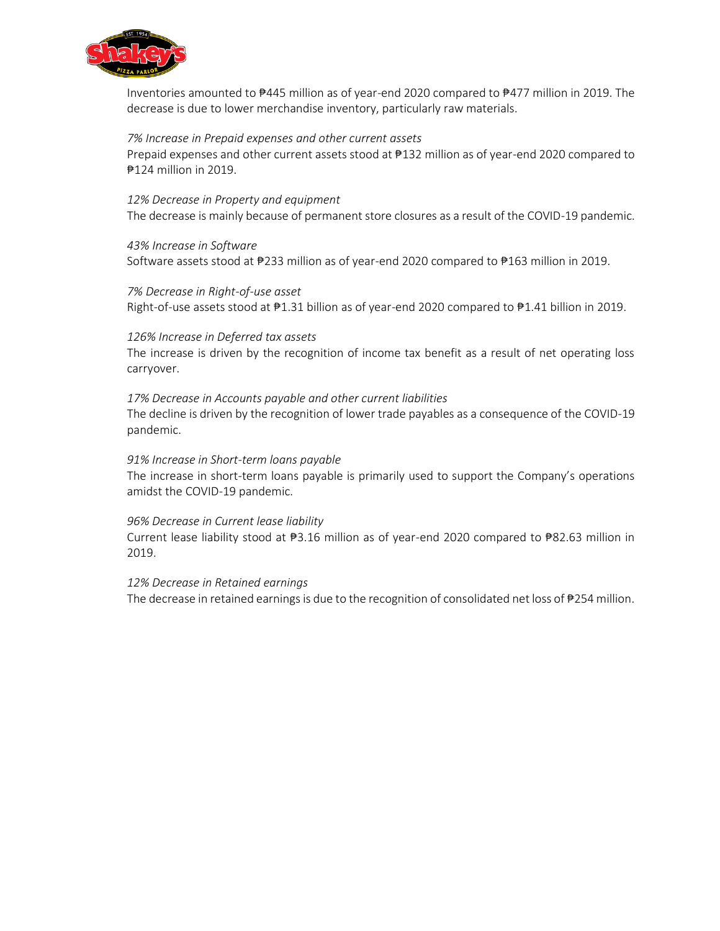

Inventories amounted to ₱445 million as of year-end 2020 compared to ₱477 million in 2019. The decrease is due to lower merchandise inventory, particularly raw materials.

## *7% Increase in Prepaid expenses and other current assets*

Prepaid expenses and other current assets stood at ₱132 million as of year-end 2020 compared to ₱124 million in 2019.

## *12% Decrease in Property and equipment*

The decrease is mainly because of permanent store closures as a result of the COVID-19 pandemic.

## *43% Increase in Software*

Software assets stood at ₱233 million as of year-end 2020 compared to ₱163 million in 2019.

# *7% Decrease in Right-of-use asset* Right-of-use assets stood at ₱1.31 billion as of year-end 2020 compared to ₱1.41 billion in 2019.

## *126% Increase in Deferred tax assets*

The increase is driven by the recognition of income tax benefit as a result of net operating loss carryover.

## *17% Decrease in Accounts payable and other current liabilities*

The decline is driven by the recognition of lower trade payables as a consequence of the COVID-19 pandemic.

## *91% Increase in Short-term loans payable*

The increase in short-term loans payable is primarily used to support the Company's operations amidst the COVID-19 pandemic.

## *96% Decrease in Current lease liability*

Current lease liability stood at ₱3.16 million as of year-end 2020 compared to ₱82.63 million in 2019.

#### *12% Decrease in Retained earnings*

The decrease in retained earnings is due to the recognition of consolidated net loss of ₱254 million.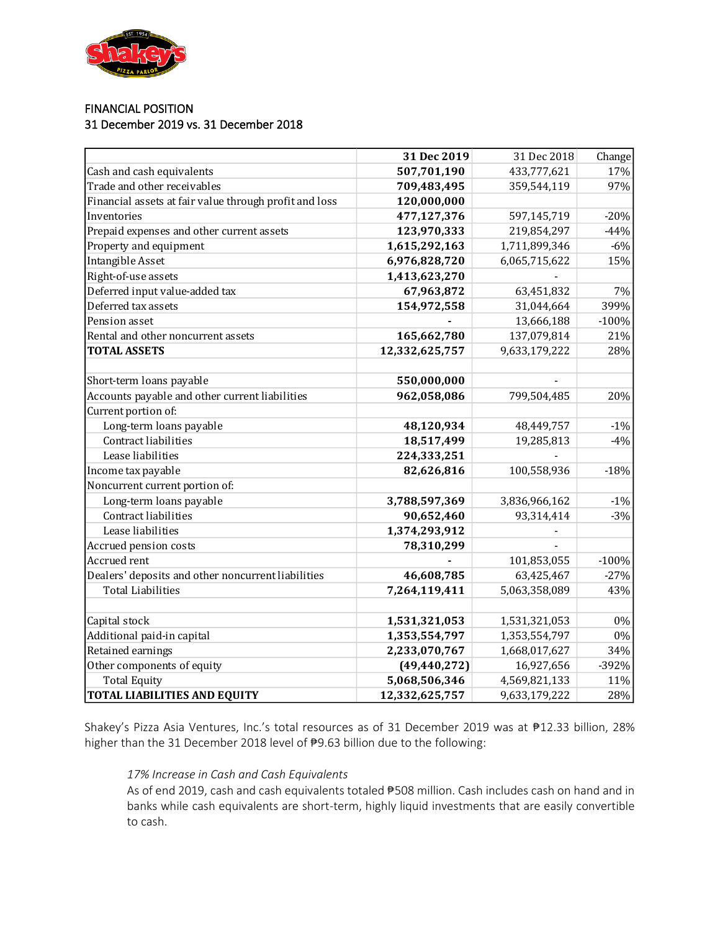

## FINANCIAL POSITION 31 December 2019 vs. 31 December 2018

|                                                        | 31 Dec 2019    | 31 Dec 2018   | Change  |
|--------------------------------------------------------|----------------|---------------|---------|
| Cash and cash equivalents                              | 507,701,190    | 433,777,621   | 17%     |
| Trade and other receivables                            | 709,483,495    | 359,544,119   | 97%     |
| Financial assets at fair value through profit and loss | 120,000,000    |               |         |
| Inventories                                            | 477,127,376    | 597,145,719   | $-20%$  |
| Prepaid expenses and other current assets              | 123,970,333    | 219,854,297   | $-44%$  |
| Property and equipment                                 | 1,615,292,163  | 1,711,899,346 | $-6%$   |
| Intangible Asset                                       | 6,976,828,720  | 6,065,715,622 | 15%     |
| Right-of-use assets                                    | 1,413,623,270  |               |         |
| Deferred input value-added tax                         | 67,963,872     | 63,451,832    | 7%      |
| Deferred tax assets                                    | 154,972,558    | 31,044,664    | 399%    |
| Pension asset                                          |                | 13,666,188    | $-100%$ |
| Rental and other noncurrent assets                     | 165,662,780    | 137,079,814   | 21%     |
| <b>TOTAL ASSETS</b>                                    | 12,332,625,757 | 9,633,179,222 | 28%     |
|                                                        |                |               |         |
| Short-term loans payable                               | 550,000,000    |               |         |
| Accounts payable and other current liabilities         | 962,058,086    | 799,504,485   | 20%     |
| Current portion of:                                    |                |               |         |
| Long-term loans payable                                | 48,120,934     | 48,449,757    | $-1%$   |
| Contract liabilities                                   | 18,517,499     | 19,285,813    | $-4%$   |
| Lease liabilities                                      | 224,333,251    |               |         |
| Income tax payable                                     | 82,626,816     | 100,558,936   | $-18%$  |
| Noncurrent current portion of:                         |                |               |         |
| Long-term loans payable                                | 3,788,597,369  | 3,836,966,162 | $-1%$   |
| Contract liabilities                                   | 90,652,460     | 93,314,414    | $-3%$   |
| Lease liabilities                                      | 1,374,293,912  |               |         |
| Accrued pension costs                                  | 78,310,299     |               |         |
| Accrued rent                                           |                | 101,853,055   | $-100%$ |
| Dealers' deposits and other noncurrent liabilities     | 46,608,785     | 63,425,467    | $-27%$  |
| <b>Total Liabilities</b>                               | 7,264,119,411  | 5,063,358,089 | 43%     |
|                                                        |                |               |         |
| Capital stock                                          | 1,531,321,053  | 1,531,321,053 | $0\%$   |
| Additional paid-in capital                             | 1,353,554,797  | 1,353,554,797 | $0\%$   |
| Retained earnings                                      | 2,233,070,767  | 1,668,017,627 | 34%     |
| Other components of equity                             | (49, 440, 272) | 16,927,656    | $-392%$ |
| <b>Total Equity</b>                                    | 5,068,506,346  | 4,569,821,133 | 11%     |
| <b>TOTAL LIABILITIES AND EQUITY</b>                    | 12,332,625,757 | 9,633,179,222 | 28%     |

Shakey's Pizza Asia Ventures, Inc.'s total resources as of 31 December 2019 was at ₱12.33 billion, 28% higher than the 31 December 2018 level of ₱9.63 billion due to the following:

## *17% Increase in Cash and Cash Equivalents*

As of end 2019, cash and cash equivalents totaled #508 million. Cash includes cash on hand and in banks while cash equivalents are short-term, highly liquid investments that are easily convertible to cash.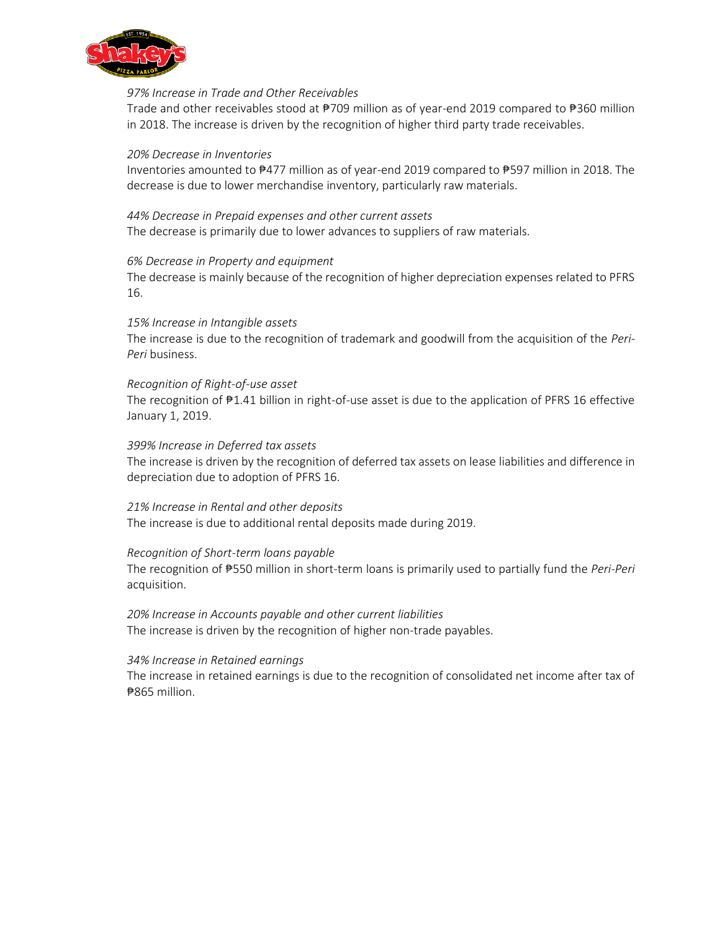

## *97% Increase in Trade and Other Receivables*

Trade and other receivables stood at ₱709 million as of year-end 2019 compared to ₱360 million in 2018. The increase is driven by the recognition of higher third party trade receivables.

#### *20% Decrease in Inventories*

Inventories amounted to ₱477 million as of year-end 2019 compared to ₱597 million in 2018. The decrease is due to lower merchandise inventory, particularly raw materials.

*44% Decrease in Prepaid expenses and other current assets* The decrease is primarily due to lower advances to suppliers of raw materials.

## *6% Decrease in Property and equipment*

The decrease is mainly because of the recognition of higher depreciation expenses related to PFRS 16.

## *15% Increase in Intangible assets*

The increase is due to the recognition of trademark and goodwill from the acquisition of the *Peri-Peri* business.

## *Recognition of Right-of-use asset*

The recognition of ₱1.41 billion in right-of-use asset is due to the application of PFRS 16 effective January 1, 2019.

## *399% Increase in Deferred tax assets*

The increase is driven by the recognition of deferred tax assets on lease liabilities and difference in depreciation due to adoption of PFRS 16.

#### *21% Increase in Rental and other deposits*

The increase is due to additional rental deposits made during 2019.

#### *Recognition of Short-term loans payable*

The recognition of ₱550 million in short-term loans is primarily used to partially fund the *Peri-Peri*  acquisition.

*20% Increase in Accounts payable and other current liabilities* The increase is driven by the recognition of higher non-trade payables.

#### *34% Increase in Retained earnings*

The increase in retained earnings is due to the recognition of consolidated net income after tax of ₱865 million.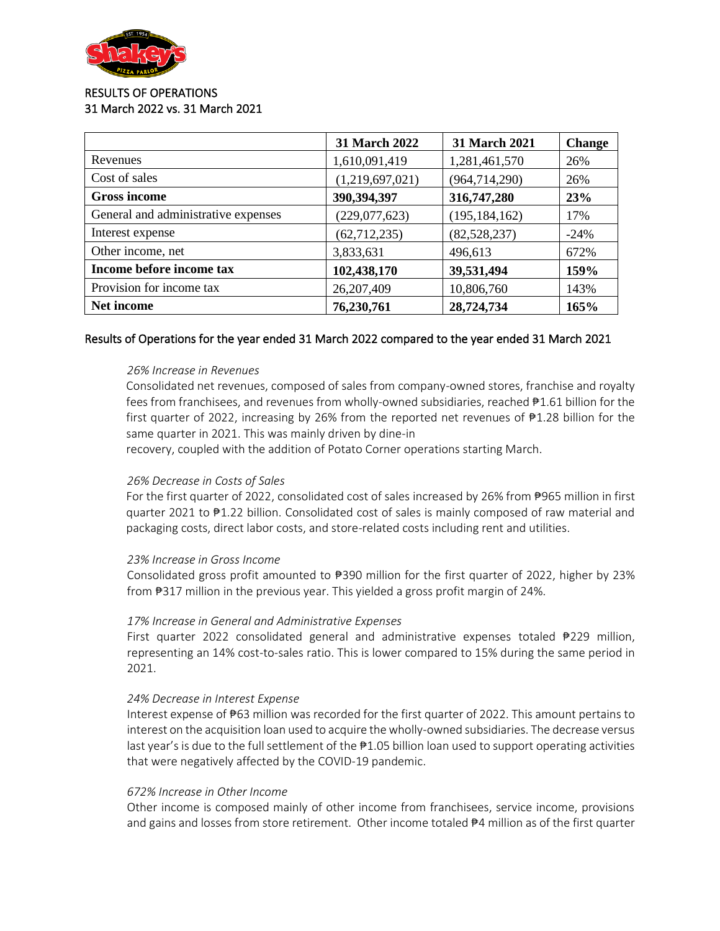

## RESULTS OF OPERATIONS 31 March 2022 vs. 31 March 2021

|                                     | 31 March 2022   | 31 March 2021   | <b>Change</b> |
|-------------------------------------|-----------------|-----------------|---------------|
| Revenues                            | 1,610,091,419   | 1,281,461,570   | 26%           |
| Cost of sales                       | (1,219,697,021) | (964, 714, 290) | 26%           |
| <b>Gross income</b>                 | 390,394,397     | 316,747,280     | 23%           |
| General and administrative expenses | (229,077,623)   | (195, 184, 162) | 17%           |
| Interest expense                    | (62, 712, 235)  | (82, 528, 237)  | $-24%$        |
| Other income, net                   | 3,833,631       | 496,613         | 672%          |
| Income before income tax            | 102,438,170     | 39,531,494      | 159%          |
| Provision for income tax            | 26,207,409      | 10,806,760      | 143%          |
| Net income                          | 76,230,761      | 28,724,734      | 165%          |

## Results of Operations for the year ended 31 March 2022 compared to the year ended 31 March 2021

#### *26% Increase in Revenues*

Consolidated net revenues, composed of sales from company-owned stores, franchise and royalty fees from franchisees, and revenues from wholly-owned subsidiaries, reached ₱1.61 billion for the first quarter of 2022, increasing by 26% from the reported net revenues of ₱1.28 billion for the same quarter in 2021. This was mainly driven by dine-in

recovery, coupled with the addition of Potato Corner operations starting March.

## *26% Decrease in Costs of Sales*

For the first quarter of 2022, consolidated cost of sales increased by 26% from #965 million in first quarter 2021 to ₱1.22 billion. Consolidated cost of sales is mainly composed of raw material and packaging costs, direct labor costs, and store-related costs including rent and utilities.

#### *23% Increase in Gross Income*

Consolidated gross profit amounted to ₱390 million for the first quarter of 2022, higher by 23% from #317 million in the previous year. This yielded a gross profit margin of 24%.

#### *17% Increase in General and Administrative Expenses*

First quarter 2022 consolidated general and administrative expenses totaled ₱229 million, representing an 14% cost-to-sales ratio. This is lower compared to 15% during the same period in 2021.

#### *24% Decrease in Interest Expense*

Interest expense of ₱63 million was recorded for the first quarter of 2022. This amount pertains to interest on the acquisition loan used to acquire the wholly-owned subsidiaries. The decrease versus last year's is due to the full settlement of the  $\frac{100}{100}$  billion loan used to support operating activities that were negatively affected by the COVID-19 pandemic.

#### *672% Increase in Other Income*

Other income is composed mainly of other income from franchisees, service income, provisions and gains and losses from store retirement. Other income totaled  $#4$  million as of the first quarter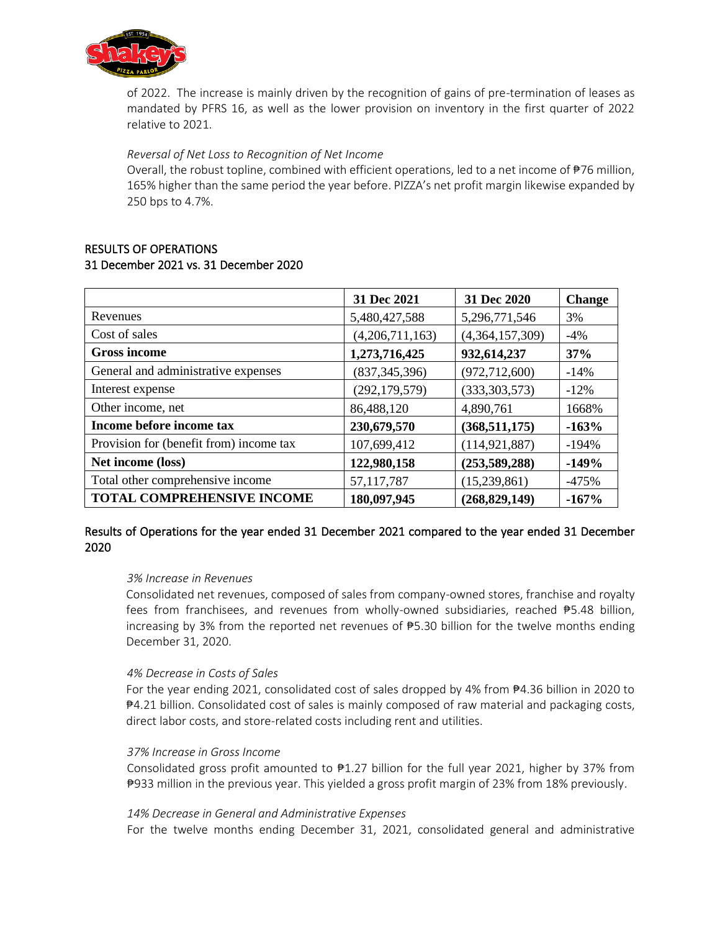

of 2022. The increase is mainly driven by the recognition of gains of pre-termination of leases as mandated by PFRS 16, as well as the lower provision on inventory in the first quarter of 2022 relative to 2021.

*Reversal of Net Loss to Recognition of Net Income*

Overall, the robust topline, combined with efficient operations, led to a net income of ₱76 million, 165% higher than the same period the year before. PIZZA's net profit margin likewise expanded by 250 bps to 4.7%.

| <b>RESULTS OF OPERATIONS</b>          |  |
|---------------------------------------|--|
| 31 December 2021 vs. 31 December 2020 |  |

|                                         | 31 Dec 2021     | 31 Dec 2020     | <b>Change</b> |
|-----------------------------------------|-----------------|-----------------|---------------|
| Revenues                                | 5,480,427,588   | 5,296,771,546   | 3%            |
| Cost of sales                           | (4,206,711,163) | (4,364,157,309) | $-4\%$        |
| <b>Gross income</b>                     | 1,273,716,425   | 932,614,237     | 37%           |
| General and administrative expenses     | (837, 345, 396) | (972, 712, 600) | $-14%$        |
| Interest expense                        | (292, 179, 579) | (333,303,573)   | $-12\%$       |
| Other income, net                       | 86,488,120      | 4,890,761       | 1668%         |
| Income before income tax                | 230,679,570     | (368, 511, 175) | $-163%$       |
| Provision for (benefit from) income tax | 107,699,412     | (114, 921, 887) | $-194%$       |
| Net income (loss)                       | 122,980,158     | (253,589,288)   | $-149%$       |
| Total other comprehensive income        | 57,117,787      | (15,239,861)    | $-475%$       |
| <b>TOTAL COMPREHENSIVE INCOME</b>       | 180,097,945     | (268, 829, 149) | $-167%$       |

# Results of Operations for the year ended 31 December 2021 compared to the year ended 31 December 2020

## *3% Increase in Revenues*

Consolidated net revenues, composed of sales from company-owned stores, franchise and royalty fees from franchisees, and revenues from wholly-owned subsidiaries, reached  $\overline{P5.48}$  billion, increasing by 3% from the reported net revenues of ₱5.30 billion for the twelve months ending December 31, 2020.

## *4% Decrease in Costs of Sales*

For the year ending 2021, consolidated cost of sales dropped by 4% from ₱4.36 billion in 2020 to ₱4.21 billion. Consolidated cost of sales is mainly composed of raw material and packaging costs, direct labor costs, and store-related costs including rent and utilities.

#### *37% Increase in Gross Income*

Consolidated gross profit amounted to  $\frac{127}{2}$  billion for the full year 2021, higher by 37% from ₱933 million in the previous year. This yielded a gross profit margin of 23% from 18% previously.

#### *14% Decrease in General and Administrative Expenses*

For the twelve months ending December 31, 2021, consolidated general and administrative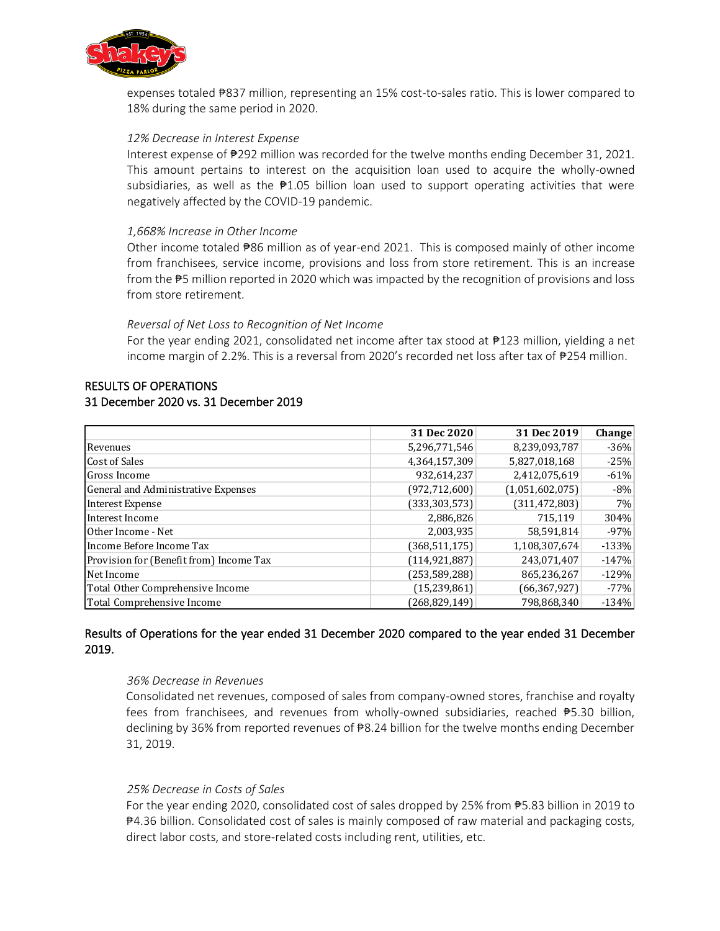

expenses totaled ₱837 million, representing an 15% cost-to-sales ratio. This is lower compared to 18% during the same period in 2020.

#### *12% Decrease in Interest Expense*

Interest expense of ₱292 million was recorded for the twelve months ending December 31, 2021. This amount pertains to interest on the acquisition loan used to acquire the wholly-owned subsidiaries, as well as the  $\mathbb{P}1.05$  billion loan used to support operating activities that were negatively affected by the COVID-19 pandemic.

## *1,668% Increase in Other Income*

Other income totaled ₱86 million as of year-end 2021. This is composed mainly of other income from franchisees, service income, provisions and loss from store retirement. This is an increase from the  $P$ 5 million reported in 2020 which was impacted by the recognition of provisions and loss from store retirement.

## *Reversal of Net Loss to Recognition of Net Income*

For the year ending 2021, consolidated net income after tax stood at ₱123 million, yielding a net income margin of 2.2%. This is a reversal from 2020's recorded net loss after tax of ₱254 million.

## RESULTS OF OPERATIONS 31 December 2020 vs. 31 December 2019

|                                         | 31 Dec 2020     | 31 Dec 2019     | <b>Change</b> |
|-----------------------------------------|-----------------|-----------------|---------------|
| Revenues                                | 5,296,771,546   | 8,239,093,787   | $-36%$        |
| Cost of Sales                           | 4,364,157,309   | 5,827,018,168   | $-25%$        |
| Gross Income                            | 932,614,237     | 2,412,075,619   | $-61%$        |
| General and Administrative Expenses     | (972, 712, 600) | (1,051,602,075) | $-8%$         |
| Interest Expense                        | (333, 303, 573) | (311, 472, 803) | 7%            |
| Interest Income                         | 2,886,826       | 715,119         | 304%          |
| Other Income - Net                      | 2,003,935       | 58,591,814      | $-97%$        |
| Income Before Income Tax                | (368, 511, 175) | 1,108,307,674   | $-133%$       |
| Provision for (Benefit from) Income Tax | (114, 921, 887) | 243,071,407     | $-147%$       |
| Net Income                              | (253, 589, 288) | 865,236,267     | $-129%$       |
| Total Other Comprehensive Income        | (15, 239, 861)  | (66, 367, 927)  | $-77%$        |
| Total Comprehensive Income              | (268,829,149)   | 798,868,340     | $-134%$       |

# Results of Operations for the year ended 31 December 2020 compared to the year ended 31 December 2019.

#### *36% Decrease in Revenues*

Consolidated net revenues, composed of sales from company-owned stores, franchise and royalty fees from franchisees, and revenues from wholly-owned subsidiaries, reached  $\overline{P5.30}$  billion, declining by 36% from reported revenues of ₱8.24 billion for the twelve months ending December 31, 2019.

## *25% Decrease in Costs of Sales*

For the year ending 2020, consolidated cost of sales dropped by 25% from ₱5.83 billion in 2019 to ₱4.36 billion. Consolidated cost of sales is mainly composed of raw material and packaging costs, direct labor costs, and store-related costs including rent, utilities, etc.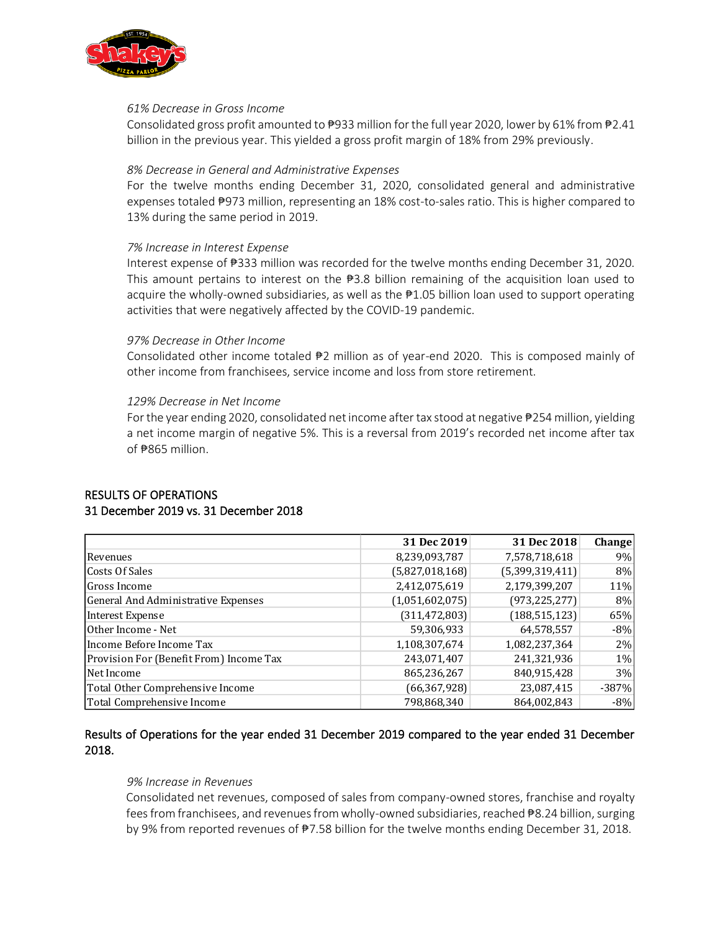

#### *61% Decrease in Gross Income*

Consolidated gross profit amounted to  $\frac{1}{2}933$  million for the full year 2020, lower by 61% from  $\frac{1}{2}2.41$ billion in the previous year. This yielded a gross profit margin of 18% from 29% previously.

## *8% Decrease in General and Administrative Expenses*

For the twelve months ending December 31, 2020, consolidated general and administrative expenses totaled ₱973 million, representing an 18% cost-to-sales ratio. This is higher compared to 13% during the same period in 2019.

## *7% Increase in Interest Expense*

Interest expense of ₱333 million was recorded for the twelve months ending December 31, 2020. This amount pertains to interest on the  $\frac{1}{2}3.8$  billion remaining of the acquisition loan used to acquire the wholly-owned subsidiaries, as well as the  $\frac{100}{2}$  billion loan used to support operating activities that were negatively affected by the COVID-19 pandemic.

## *97% Decrease in Other Income*

Consolidated other income totaled  $\sqrt{P^2}$  million as of year-end 2020. This is composed mainly of other income from franchisees, service income and loss from store retirement.

## *129% Decrease in Net Income*

For the year ending 2020, consolidated net income after tax stood at negative ₱254 million, yielding a net income margin of negative 5%. This is a reversal from 2019's recorded net income after tax of  $#865$  million.

## RESULTS OF OPERATIONS 31 December 2019 vs. 31 December 2018

|                                         | 31 Dec 2019     | 31 Dec 2018     | Change  |
|-----------------------------------------|-----------------|-----------------|---------|
| Revenues                                | 8,239,093,787   | 7,578,718,618   | 9%      |
| Costs Of Sales                          | (5,827,018,168) | (5,399,319,411) | 8%      |
| Gross Income                            | 2,412,075,619   | 2,179,399,207   | 11%     |
| General And Administrative Expenses     | (1,051,602,075) | (973, 225, 277) | $8\%$   |
| Interest Expense                        | (311, 472, 803) | (188, 515, 123) | 65%     |
| Other Income - Net                      | 59,306,933      | 64,578,557      | $-8%$   |
| Income Before Income Tax                | 1,108,307,674   | 1,082,237,364   | 2%      |
| Provision For (Benefit From) Income Tax | 243,071,407     | 241,321,936     | $1\%$   |
| Net Income                              | 865,236,267     | 840,915,428     | 3%      |
| Total Other Comprehensive Income        | (66, 367, 928)  | 23,087,415      | $-387%$ |
| Total Comprehensive Income              | 798,868,340     | 864,002,843     | $-8%$   |

# Results of Operations for the year ended 31 December 2019 compared to the year ended 31 December 2018.

#### *9% Increase in Revenues*

Consolidated net revenues, composed of sales from company-owned stores, franchise and royalty fees from franchisees, and revenues from wholly-owned subsidiaries, reached ₱8.24 billion, surging by 9% from reported revenues of ₱7.58 billion for the twelve months ending December 31, 2018.